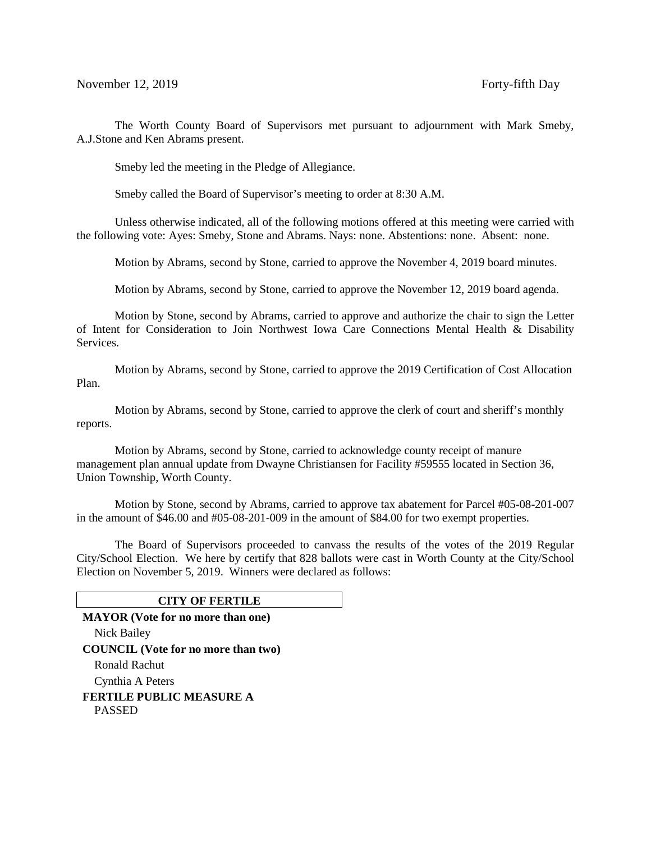The Worth County Board of Supervisors met pursuant to adjournment with Mark Smeby, A.J.Stone and Ken Abrams present.

Smeby led the meeting in the Pledge of Allegiance.

Smeby called the Board of Supervisor's meeting to order at 8:30 A.M.

Unless otherwise indicated, all of the following motions offered at this meeting were carried with the following vote: Ayes: Smeby, Stone and Abrams. Nays: none. Abstentions: none. Absent: none.

Motion by Abrams, second by Stone, carried to approve the November 4, 2019 board minutes.

Motion by Abrams, second by Stone, carried to approve the November 12, 2019 board agenda.

 Motion by Stone, second by Abrams, carried to approve and authorize the chair to sign the Letter of Intent for Consideration to Join Northwest Iowa Care Connections Mental Health & Disability Services.

Motion by Abrams, second by Stone, carried to approve the 2019 Certification of Cost Allocation Plan.

Motion by Abrams, second by Stone, carried to approve the clerk of court and sheriff's monthly reports.

Motion by Abrams, second by Stone, carried to acknowledge county receipt of manure management plan annual update from Dwayne Christiansen for Facility #59555 located in Section 36, Union Township, Worth County.

Motion by Stone, second by Abrams, carried to approve tax abatement for Parcel #05-08-201-007 in the amount of \$46.00 and #05-08-201-009 in the amount of \$84.00 for two exempt properties.

The Board of Supervisors proceeded to canvass the results of the votes of the 2019 Regular City/School Election. We here by certify that 828 ballots were cast in Worth County at the City/School Election on November 5, 2019. Winners were declared as follows:

#### **CITY OF FERTILE**

**MAYOR (Vote for no more than one)** Nick Bailey **COUNCIL (Vote for no more than two)** Ronald Rachut Cynthia A Peters **FERTILE PUBLIC MEASURE A** PASSED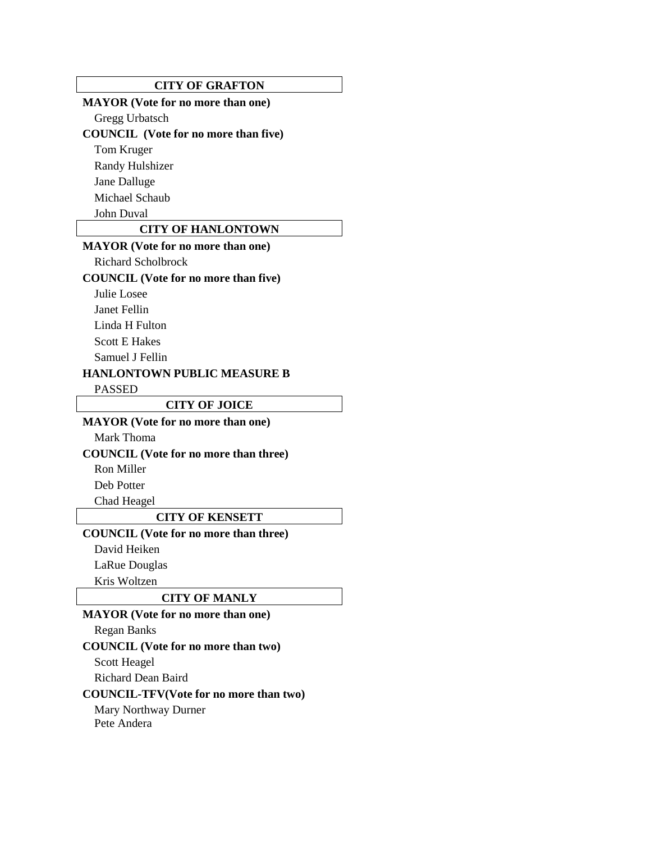#### **CITY OF GRAFTON**

# **MAYOR (Vote for no more than one)**

Gregg Urbatsch

# **COUNCIL (Vote for no more than five)**

Tom Kruger

Randy Hulshizer

Jane Dalluge

Michael Schaub

John Duval

# **CITY OF HANLONTOWN**

### **MAYOR (Vote for no more than one)**

Richard Scholbrock

#### **COUNCIL (Vote for no more than five)**

Julie Losee

Janet Fellin

Linda H Fulton

Scott E Hakes

Samuel J Fellin

#### **HANLONTOWN PUBLIC MEASURE B**

PASSED

#### **CITY OF JOICE**

## **MAYOR (Vote for no more than one)**

Mark Thoma

**COUNCIL (Vote for no more than three)**

Ron Miller

Deb Potter

Chad Heagel

#### **CITY OF KENSETT**

**COUNCIL (Vote for no more than three)**

David Heiken

LaRue Douglas

Kris Woltzen

#### **CITY OF MANLY**

### **MAYOR (Vote for no more than one)**

Regan Banks

**COUNCIL (Vote for no more than two)**

Scott Heagel

Richard Dean Baird

#### **COUNCIL-TFV(Vote for no more than two)**

Mary Northway Durner Pete Andera